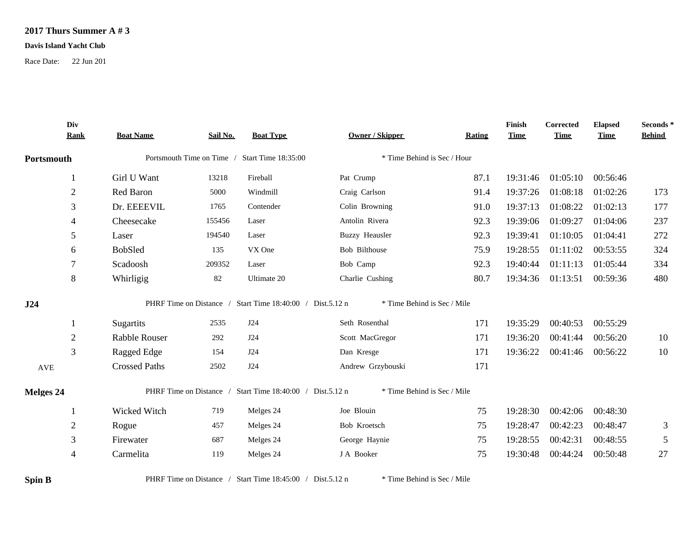## **2017 Thurs Summer A # 3**

## **Davis Island Yacht Club**

Race Date: 22 Jun 201

| Portsmouth<br>$\overline{2}$<br>3<br>$\overline{4}$<br>5<br>6<br>7<br>8 | Girl U Want<br>Red Baron<br>Dr. EEEEVIL<br>Cheesecake<br>Laser<br><b>BobSled</b><br>Scadoosh | 13218<br>5000<br>1765<br>155456<br>194540<br>135<br>209352 | Portsmouth Time on Time / Start Time 18:35:00<br>Fireball<br>Windmill<br>Contender<br>Laser<br>Laser<br>VX One | * Time Behind is Sec / Hour<br>Pat Crump<br>Craig Carlson<br>Colin Browning<br>Antolin Rivera<br><b>Buzzy Heausler</b><br>Bob Bilthouse | 87.1<br>91.4<br>91.0<br>92.3<br>92.3                                                                                                                                                | 19:31:46<br>19:37:26<br>19:37:13<br>19:39:06<br>19:39:41                                  | 01:05:10<br>01:08:18<br>01:08:22<br>01:09:27<br>01:10:05 | 00:56:46<br>01:02:26<br>01:02:13<br>01:04:06<br>01:04:41 | 173<br>177<br>237<br>272 |
|-------------------------------------------------------------------------|----------------------------------------------------------------------------------------------|------------------------------------------------------------|----------------------------------------------------------------------------------------------------------------|-----------------------------------------------------------------------------------------------------------------------------------------|-------------------------------------------------------------------------------------------------------------------------------------------------------------------------------------|-------------------------------------------------------------------------------------------|----------------------------------------------------------|----------------------------------------------------------|--------------------------|
|                                                                         |                                                                                              |                                                            |                                                                                                                |                                                                                                                                         |                                                                                                                                                                                     |                                                                                           |                                                          |                                                          |                          |
|                                                                         |                                                                                              |                                                            |                                                                                                                |                                                                                                                                         |                                                                                                                                                                                     |                                                                                           |                                                          |                                                          |                          |
|                                                                         |                                                                                              |                                                            |                                                                                                                |                                                                                                                                         |                                                                                                                                                                                     |                                                                                           |                                                          |                                                          |                          |
|                                                                         |                                                                                              |                                                            |                                                                                                                |                                                                                                                                         |                                                                                                                                                                                     |                                                                                           |                                                          |                                                          |                          |
|                                                                         |                                                                                              |                                                            |                                                                                                                |                                                                                                                                         |                                                                                                                                                                                     |                                                                                           |                                                          |                                                          |                          |
|                                                                         |                                                                                              |                                                            |                                                                                                                |                                                                                                                                         |                                                                                                                                                                                     |                                                                                           |                                                          |                                                          |                          |
|                                                                         |                                                                                              |                                                            |                                                                                                                |                                                                                                                                         | 75.9                                                                                                                                                                                | 19:28:55                                                                                  | 01:11:02                                                 | 00:53:55                                                 | 324                      |
|                                                                         |                                                                                              |                                                            | Laser                                                                                                          | Bob Camp                                                                                                                                | 92.3                                                                                                                                                                                | 19:40:44                                                                                  | 01:11:13                                                 | 01:05:44                                                 | 334                      |
|                                                                         | Whirligig                                                                                    | 82                                                         | Ultimate 20                                                                                                    | Charlie Cushing                                                                                                                         | 80.7                                                                                                                                                                                | 19:34:36                                                                                  | 01:13:51                                                 | 00:59:36                                                 | 480                      |
|                                                                         |                                                                                              |                                                            |                                                                                                                |                                                                                                                                         |                                                                                                                                                                                     |                                                                                           |                                                          |                                                          |                          |
|                                                                         | Sugartits                                                                                    | 2535                                                       | J24                                                                                                            | Seth Rosenthal                                                                                                                          | 171                                                                                                                                                                                 | 19:35:29                                                                                  | 00:40:53                                                 | 00:55:29                                                 |                          |
| $\overline{2}$                                                          | Rabble Rouser                                                                                | 292                                                        | J24                                                                                                            | Scott MacGregor                                                                                                                         | 171                                                                                                                                                                                 | 19:36:20                                                                                  | 00:41:44                                                 | 00:56:20                                                 | 10                       |
| 3                                                                       | Ragged Edge                                                                                  | 154                                                        | J24                                                                                                            | Dan Kresge                                                                                                                              | 171                                                                                                                                                                                 | 19:36:22                                                                                  |                                                          |                                                          | 10                       |
|                                                                         | <b>Crossed Paths</b>                                                                         | 2502                                                       | J24                                                                                                            | Andrew Grzybouski                                                                                                                       | 171                                                                                                                                                                                 |                                                                                           |                                                          |                                                          |                          |
|                                                                         |                                                                                              |                                                            |                                                                                                                |                                                                                                                                         |                                                                                                                                                                                     |                                                                                           |                                                          |                                                          |                          |
|                                                                         | Wicked Witch                                                                                 | 719                                                        | Melges 24                                                                                                      | Joe Blouin                                                                                                                              | 75                                                                                                                                                                                  | 19:28:30                                                                                  | 00:42:06                                                 | 00:48:30                                                 |                          |
| $\boldsymbol{2}$                                                        | Rogue                                                                                        | 457                                                        | Melges 24                                                                                                      | Bob Kroetsch                                                                                                                            | 75                                                                                                                                                                                  | 19:28:47                                                                                  | 00:42:23                                                 | 00:48:47                                                 | 3                        |
| 3                                                                       | Firewater                                                                                    | 687                                                        | Melges 24                                                                                                      | George Haynie                                                                                                                           | 75                                                                                                                                                                                  | 19:28:55                                                                                  | 00:42:31                                                 | 00:48:55                                                 | $\sqrt{5}$               |
| $\overline{4}$                                                          | Carmelita                                                                                    | 119                                                        | Melges 24                                                                                                      | J A Booker                                                                                                                              | 75                                                                                                                                                                                  | 19:30:48                                                                                  | 00:44:24                                                 | 00:50:48                                                 | 27                       |
|                                                                         |                                                                                              |                                                            |                                                                                                                |                                                                                                                                         | PHRF Time on Distance / Start Time 18:40:00 / Dist.5.12 n<br>PHRF Time on Distance / Start Time 18:40:00 / Dist.5.12 n<br>PHRF Time on Distance / Start Time 18:45:00 / Dist.5.12 n | * Time Behind is Sec / Mile<br>* Time Behind is Sec / Mile<br>* Time Behind is Sec / Mile |                                                          |                                                          | 00:41:46 00:56:22        |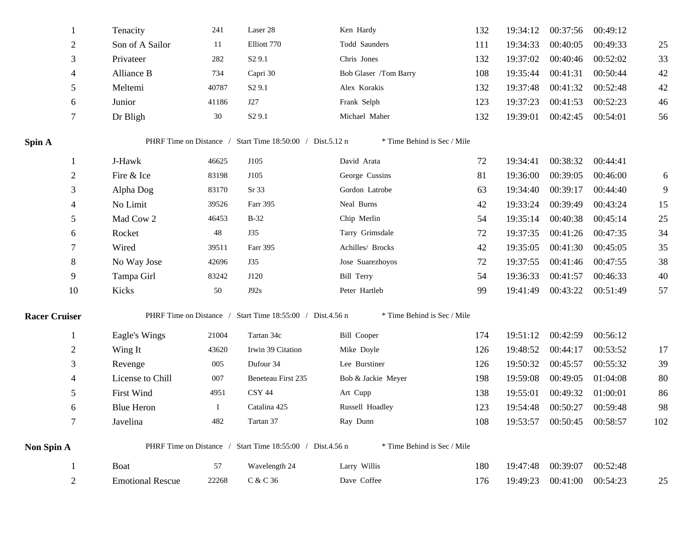|                      | 1               | Tenacity                | 241   | Laser 28                                                  | Ken Hardy                   | 132 | 19:34:12 | 00:37:56          | 00:49:12 |     |
|----------------------|-----------------|-------------------------|-------|-----------------------------------------------------------|-----------------------------|-----|----------|-------------------|----------|-----|
|                      | $\overline{2}$  | Son of A Sailor         | 11    | Elliott 770                                               | Todd Saunders               | 111 | 19:34:33 | 00:40:05          | 00:49:33 | 25  |
|                      | $\mathfrak{Z}$  | Privateer               | 282   | S <sub>2</sub> 9.1                                        | Chris Jones                 | 132 | 19:37:02 | 00:40:46          | 00:52:02 | 33  |
|                      | $\overline{4}$  | Alliance B              | 734   | Capri 30                                                  | Bob Glaser /Tom Barry       | 108 | 19:35:44 | 00:41:31          | 00:50:44 | 42  |
|                      |                 |                         |       |                                                           |                             |     |          |                   |          |     |
|                      | 5               | Meltemi                 | 40787 | S <sub>2</sub> 9.1                                        | Alex Korakis                | 132 | 19:37:48 | 00:41:32          | 00:52:48 | 42  |
|                      | 6               | Junior                  | 41186 | J27                                                       | Frank Selph                 | 123 | 19:37:23 | 00:41:53          | 00:52:23 | 46  |
|                      | $\tau$          | Dr Bligh                | 30    | S <sub>2</sub> 9.1                                        | Michael Maher               | 132 | 19:39:01 | 00:42:45          | 00:54:01 | 56  |
| Spin A               |                 |                         |       | PHRF Time on Distance / Start Time 18:50:00 / Dist.5.12 n | * Time Behind is Sec / Mile |     |          |                   |          |     |
|                      | $\mathbf{1}$    | J-Hawk                  | 46625 | J105                                                      | David Arata                 | 72  | 19:34:41 | 00:38:32          | 00:44:41 |     |
|                      | $\overline{2}$  | Fire & Ice              | 83198 | J105                                                      | George Cussins              | 81  | 19:36:00 | 00:39:05          | 00:46:00 | 6   |
|                      | $\mathfrak{Z}$  | Alpha Dog               | 83170 | Sr 33                                                     | Gordon Latrobe              | 63  | 19:34:40 | 00:39:17          | 00:44:40 | 9   |
|                      | $\overline{4}$  | No Limit                | 39526 | Farr 395                                                  | Neal Burns                  | 42  | 19:33:24 | 00:39:49          | 00:43:24 | 15  |
|                      | 5               | Mad Cow 2               | 46453 | $B-32$                                                    | Chip Merlin                 | 54  | 19:35:14 | 00:40:38          | 00:45:14 | 25  |
|                      | 6               | Rocket                  | 48    | <b>J35</b>                                                | Tarry Grimsdale             | 72  | 19:37:35 | 00:41:26          | 00:47:35 | 34  |
|                      | $\tau$          | Wired                   | 39511 | Farr 395                                                  | Achilles/ Brocks            | 42  | 19:35:05 | 00:41:30          | 00:45:05 | 35  |
|                      | $8\phantom{.0}$ | No Way Jose             | 42696 | J35                                                       | Jose Suarezhoyos            | 72  | 19:37:55 | 00:41:46          | 00:47:55 | 38  |
|                      | 9               | Tampa Girl              | 83242 | J120                                                      | <b>Bill Terry</b>           | 54  | 19:36:33 | 00:41:57          | 00:46:33 | 40  |
|                      | 10              | Kicks                   | 50    | J92s                                                      | Peter Hartleb               | 99  | 19:41:49 | 00:43:22          | 00:51:49 | 57  |
| <b>Racer Cruiser</b> |                 |                         |       | PHRF Time on Distance / Start Time 18:55:00 / Dist.4.56 n | * Time Behind is Sec / Mile |     |          |                   |          |     |
|                      | $\mathbf{1}$    | Eagle's Wings           | 21004 | Tartan 34c                                                | <b>Bill Cooper</b>          | 174 | 19:51:12 | 00:42:59          | 00:56:12 |     |
|                      | $\overline{2}$  | Wing It                 | 43620 | Irwin 39 Citation                                         | Mike Doyle                  | 126 | 19:48:52 | 00:44:17          | 00:53:52 | 17  |
|                      | 3               | Revenge                 | 005   | Dufour 34                                                 | Lee Burstiner               | 126 | 19:50:32 | 00:45:57          | 00:55:32 | 39  |
|                      | $\overline{4}$  | License to Chill        | 007   | Beneteau First 235                                        | Bob & Jackie Meyer          | 198 | 19:59:08 | 00:49:05          | 01:04:08 | 80  |
|                      | 5               | <b>First Wind</b>       | 4951  | CSY 44                                                    | Art Cupp                    | 138 | 19:55:01 | 00:49:32          | 01:00:01 | 86  |
|                      | 6               | <b>Blue Heron</b>       | -1    | Catalina 425                                              | Russell Hoadley             | 123 | 19:54:48 | 00:50:27          | 00:59:48 | 98  |
|                      | $\tau$          | Javelina                | 482   | Tartan 37                                                 | Ray Dunn                    |     |          | 00:50:45 00:58:57 |          | 102 |
|                      |                 |                         |       |                                                           |                             | 108 | 19:53:57 |                   |          |     |
| Non Spin A           |                 |                         |       | PHRF Time on Distance / Start Time 18:55:00 / Dist.4.56 n | * Time Behind is Sec / Mile |     |          |                   |          |     |
|                      |                 | Boat                    | 57    | Wavelength 24                                             | Larry Willis                | 180 | 19:47:48 | 00:39:07          | 00:52:48 |     |
|                      | 2               | <b>Emotional Rescue</b> | 22268 | C & C 36                                                  | Dave Coffee                 | 176 | 19:49:23 | 00:41:00          | 00:54:23 | 25  |
|                      |                 |                         |       |                                                           |                             |     |          |                   |          |     |